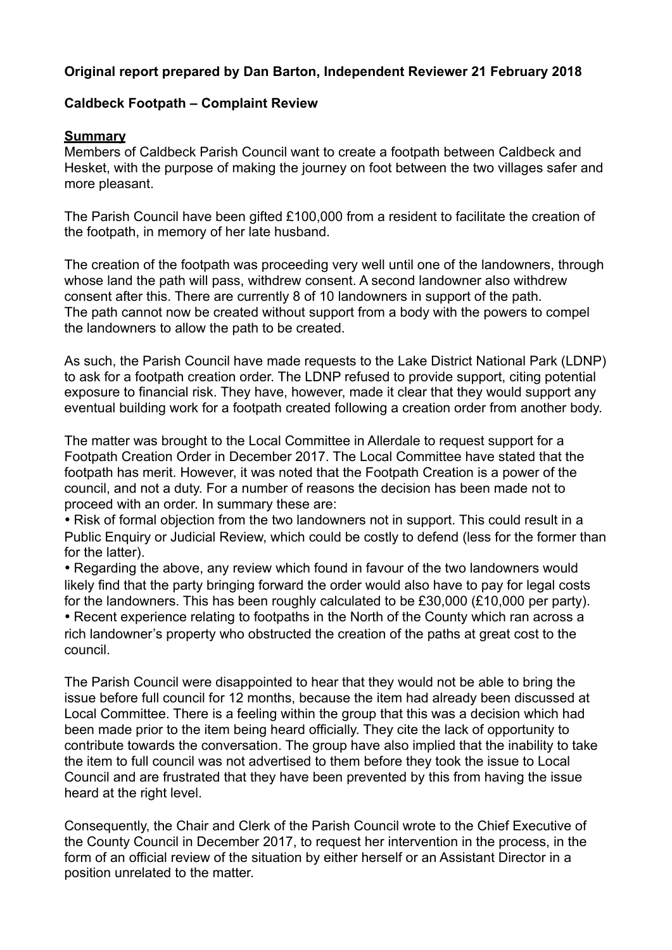## **Original report prepared by Dan Barton, Independent Reviewer 21 February 2018**

#### **Caldbeck Footpath – Complaint Review**

#### **Summary**

Members of Caldbeck Parish Council want to create a footpath between Caldbeck and Hesket, with the purpose of making the journey on foot between the two villages safer and more pleasant.

The Parish Council have been gifted £100,000 from a resident to facilitate the creation of the footpath, in memory of her late husband.

The creation of the footpath was proceeding very well until one of the landowners, through whose land the path will pass, withdrew consent. A second landowner also withdrew consent after this. There are currently 8 of 10 landowners in support of the path. The path cannot now be created without support from a body with the powers to compel the landowners to allow the path to be created.

As such, the Parish Council have made requests to the Lake District National Park (LDNP) to ask for a footpath creation order. The LDNP refused to provide support, citing potential exposure to financial risk. They have, however, made it clear that they would support any eventual building work for a footpath created following a creation order from another body.

The matter was brought to the Local Committee in Allerdale to request support for a Footpath Creation Order in December 2017. The Local Committee have stated that the footpath has merit. However, it was noted that the Footpath Creation is a power of the council, and not a duty. For a number of reasons the decision has been made not to proceed with an order. In summary these are:

• Risk of formal objection from the two landowners not in support. This could result in a Public Enquiry or Judicial Review, which could be costly to defend (less for the former than for the latter).

• Regarding the above, any review which found in favour of the two landowners would likely find that the party bringing forward the order would also have to pay for legal costs for the landowners. This has been roughly calculated to be £30,000 (£10,000 per party).

• Recent experience relating to footpaths in the North of the County which ran across a rich landowner's property who obstructed the creation of the paths at great cost to the council.

The Parish Council were disappointed to hear that they would not be able to bring the issue before full council for 12 months, because the item had already been discussed at Local Committee. There is a feeling within the group that this was a decision which had been made prior to the item being heard officially. They cite the lack of opportunity to contribute towards the conversation. The group have also implied that the inability to take the item to full council was not advertised to them before they took the issue to Local Council and are frustrated that they have been prevented by this from having the issue heard at the right level.

Consequently, the Chair and Clerk of the Parish Council wrote to the Chief Executive of the County Council in December 2017, to request her intervention in the process, in the form of an official review of the situation by either herself or an Assistant Director in a position unrelated to the matter.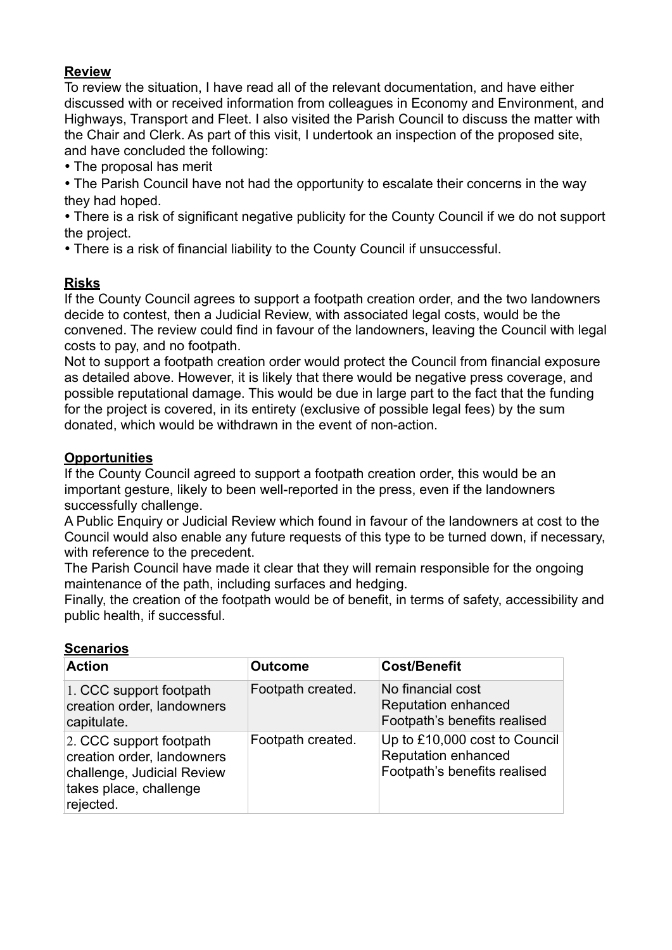# **Review**

To review the situation, I have read all of the relevant documentation, and have either discussed with or received information from colleagues in Economy and Environment, and Highways, Transport and Fleet. I also visited the Parish Council to discuss the matter with the Chair and Clerk. As part of this visit, I undertook an inspection of the proposed site, and have concluded the following:

• The proposal has merit

• The Parish Council have not had the opportunity to escalate their concerns in the way they had hoped.

• There is a risk of significant negative publicity for the County Council if we do not support the project.

• There is a risk of financial liability to the County Council if unsuccessful.

## **Risks**

If the County Council agrees to support a footpath creation order, and the two landowners decide to contest, then a Judicial Review, with associated legal costs, would be the convened. The review could find in favour of the landowners, leaving the Council with legal costs to pay, and no footpath.

Not to support a footpath creation order would protect the Council from financial exposure as detailed above. However, it is likely that there would be negative press coverage, and possible reputational damage. This would be due in large part to the fact that the funding for the project is covered, in its entirety (exclusive of possible legal fees) by the sum donated, which would be withdrawn in the event of non-action.

## **Opportunities**

If the County Council agreed to support a footpath creation order, this would be an important gesture, likely to been well-reported in the press, even if the landowners successfully challenge.

A Public Enquiry or Judicial Review which found in favour of the landowners at cost to the Council would also enable any future requests of this type to be turned down, if necessary, with reference to the precedent.

The Parish Council have made it clear that they will remain responsible for the ongoing maintenance of the path, including surfaces and hedging.

Finally, the creation of the footpath would be of benefit, in terms of safety, accessibility and public health, if successful.

| <b>Action</b>                                                                                                              | <b>Outcome</b>    | <b>Cost/Benefit</b>                                                                         |
|----------------------------------------------------------------------------------------------------------------------------|-------------------|---------------------------------------------------------------------------------------------|
| 1. CCC support footpath<br>creation order, landowners<br>capitulate.                                                       | Footpath created. | No financial cost<br><b>Reputation enhanced</b><br>Footpath's benefits realised             |
| 2. CCC support footpath<br>creation order, landowners<br>challenge, Judicial Review<br>takes place, challenge<br>rejected. | Footpath created. | Up to £10,000 cost to Council<br><b>Reputation enhanced</b><br>Footpath's benefits realised |

## **Scenarios**